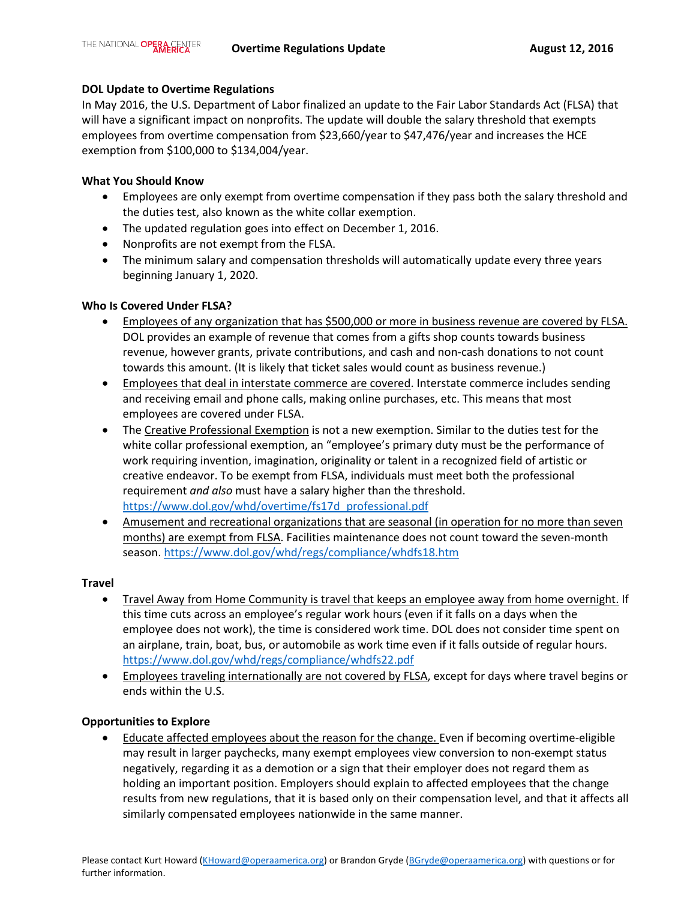## **DOL Update to Overtime Regulations**

In May 2016, the U.S. Department of Labor finalized an update to the Fair Labor Standards Act (FLSA) that will have a significant impact on nonprofits. The update will double the salary threshold that exempts employees from overtime compensation from \$23,660/year to \$47,476/year and increases the HCE exemption from \$100,000 to \$134,004/year.

## **What You Should Know**

- Employees are only exempt from overtime compensation if they pass both the salary threshold and the duties test, also known as the white collar exemption.
- The updated regulation goes into effect on December 1, 2016.
- Nonprofits are not exempt from the FLSA.
- The minimum salary and compensation thresholds will automatically update every three years beginning January 1, 2020.

# **Who Is Covered Under FLSA?**

- Employees of any organization that has \$500,000 or more in business revenue are covered by FLSA. DOL provides an example of revenue that comes from a gifts shop counts towards business revenue, however grants, private contributions, and cash and non-cash donations to not count towards this amount. (It is likely that ticket sales would count as business revenue.)
- Employees that deal in interstate commerce are covered. Interstate commerce includes sending and receiving email and phone calls, making online purchases, etc. This means that most employees are covered under FLSA.
- The Creative Professional Exemption is not a new exemption. Similar to the duties test for the white collar professional exemption, an "employee's primary duty must be the performance of work requiring invention, imagination, originality or talent in a recognized field of artistic or creative endeavor. To be exempt from FLSA, individuals must meet both the professional requirement *and also* must have a salary higher than the threshold. [https://www.dol.gov/whd/overtime/fs17d\\_professional.pdf](https://www.dol.gov/whd/overtime/fs17d_professional.pdf)
- Amusement and recreational organizations that are seasonal (in operation for no more than seven months) are exempt from FLSA. Facilities maintenance does not count toward the seven-month season.<https://www.dol.gov/whd/regs/compliance/whdfs18.htm>

### **Travel**

- Travel Away from Home Community is travel that keeps an employee away from home overnight. If this time cuts across an employee's regular work hours (even if it falls on a days when the employee does not work), the time is considered work time. DOL does not consider time spent on an airplane, train, boat, bus, or automobile as work time even if it falls outside of regular hours. <https://www.dol.gov/whd/regs/compliance/whdfs22.pdf>
- Employees traveling internationally are not covered by FLSA, except for days where travel begins or ends within the U.S.

### **Opportunities to Explore**

• Educate affected employees about the reason for the change. Even if becoming overtime-eligible may result in larger paychecks, many exempt employees view conversion to non-exempt status negatively, regarding it as a demotion or a sign that their employer does not regard them as holding an important position. Employers should explain to affected employees that the change results from new regulations, that it is based only on their compensation level, and that it affects all similarly compensated employees nationwide in the same manner.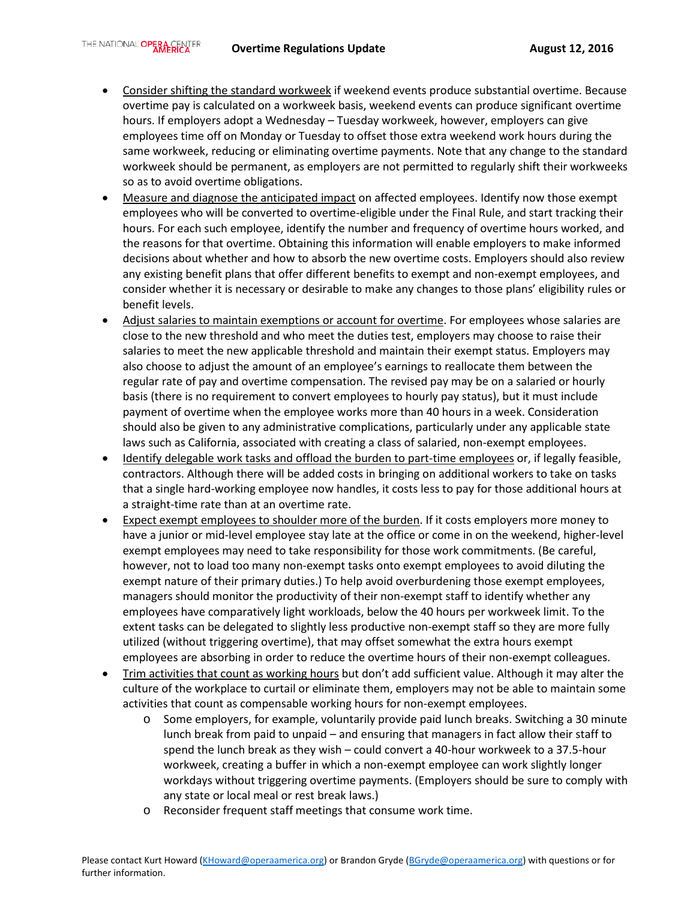- Consider shifting the standard workweek if weekend events produce substantial overtime. Because overtime pay is calculated on a workweek basis, weekend events can produce significant overtime hours. If employers adopt a Wednesday – Tuesday workweek, however, employers can give employees time off on Monday or Tuesday to offset those extra weekend work hours during the same workweek, reducing or eliminating overtime payments. Note that any change to the standard workweek should be permanent, as employers are not permitted to regularly shift their workweeks so as to avoid overtime obligations.
- Measure and diagnose the anticipated impact on affected employees. Identify now those exempt employees who will be converted to overtime-eligible under the Final Rule, and start tracking their hours. For each such employee, identify the number and frequency of overtime hours worked, and the reasons for that overtime. Obtaining this information will enable employers to make informed decisions about whether and how to absorb the new overtime costs. Employers should also review any existing benefit plans that offer different benefits to exempt and non-exempt employees, and consider whether it is necessary or desirable to make any changes to those plans' eligibility rules or benefit levels.
- Adjust salaries to maintain exemptions or account for overtime. For employees whose salaries are close to the new threshold and who meet the duties test, employers may choose to raise their salaries to meet the new applicable threshold and maintain their exempt status. Employers may also choose to adjust the amount of an employee's earnings to reallocate them between the regular rate of pay and overtime compensation. The revised pay may be on a salaried or hourly basis (there is no requirement to convert employees to hourly pay status), but it must include payment of overtime when the employee works more than 40 hours in a week. Consideration should also be given to any administrative complications, particularly under any applicable state laws such as California, associated with creating a class of salaried, non-exempt employees.
- Identify delegable work tasks and offload the burden to part-time employees or, if legally feasible, contractors. Although there will be added costs in bringing on additional workers to take on tasks that a single hard-working employee now handles, it costs less to pay for those additional hours at a straight-time rate than at an overtime rate.
- Expect exempt employees to shoulder more of the burden. If it costs employers more money to have a junior or mid-level employee stay late at the office or come in on the weekend, higher-level exempt employees may need to take responsibility for those work commitments. (Be careful, however, not to load too many non-exempt tasks onto exempt employees to avoid diluting the exempt nature of their primary duties.) To help avoid overburdening those exempt employees, managers should monitor the productivity of their non-exempt staff to identify whether any employees have comparatively light workloads, below the 40 hours per workweek limit. To the extent tasks can be delegated to slightly less productive non-exempt staff so they are more fully utilized (without triggering overtime), that may offset somewhat the extra hours exempt employees are absorbing in order to reduce the overtime hours of their non-exempt colleagues.
- Trim activities that count as working hours but don't add sufficient value. Although it may alter the culture of the workplace to curtail or eliminate them, employers may not be able to maintain some activities that count as compensable working hours for non-exempt employees.
	- o Some employers, for example, voluntarily provide paid lunch breaks. Switching a 30 minute lunch break from paid to unpaid – and ensuring that managers in fact allow their staff to spend the lunch break as they wish – could convert a 40-hour workweek to a 37.5-hour workweek, creating a buffer in which a non-exempt employee can work slightly longer workdays without triggering overtime payments. (Employers should be sure to comply with any state or local meal or rest break laws.)
	- o Reconsider frequent staff meetings that consume work time.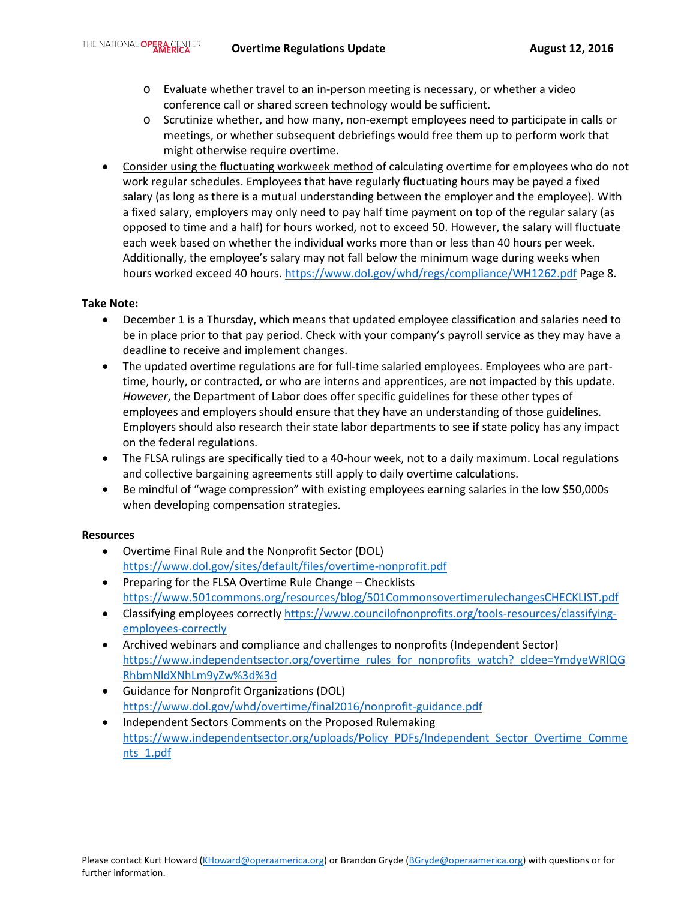- o Evaluate whether travel to an in-person meeting is necessary, or whether a video conference call or shared screen technology would be sufficient.
- o Scrutinize whether, and how many, non-exempt employees need to participate in calls or meetings, or whether subsequent debriefings would free them up to perform work that might otherwise require overtime.
- Consider using the fluctuating workweek method of calculating overtime for employees who do not work regular schedules. Employees that have regularly fluctuating hours may be payed a fixed salary (as long as there is a mutual understanding between the employer and the employee). With a fixed salary, employers may only need to pay half time payment on top of the regular salary (as opposed to time and a half) for hours worked, not to exceed 50. However, the salary will fluctuate each week based on whether the individual works more than or less than 40 hours per week. Additionally, the employee's salary may not fall below the minimum wage during weeks when hours worked exceed 40 hours[. https://www.dol.gov/whd/regs/compliance/WH1262.pdf](https://www.dol.gov/whd/regs/compliance/WH1262.pdf) Page 8.

### **Take Note:**

- December 1 is a Thursday, which means that updated employee classification and salaries need to be in place prior to that pay period. Check with your company's payroll service as they may have a deadline to receive and implement changes.
- The updated overtime regulations are for full-time salaried employees. Employees who are parttime, hourly, or contracted, or who are interns and apprentices, are not impacted by this update. *However*, the Department of Labor does offer specific guidelines for these other types of employees and employers should ensure that they have an understanding of those guidelines. Employers should also research their state labor departments to see if state policy has any impact on the federal regulations.
- The FLSA rulings are specifically tied to a 40-hour week, not to a daily maximum. Local regulations and collective bargaining agreements still apply to daily overtime calculations.
- Be mindful of "wage compression" with existing employees earning salaries in the low \$50,000s when developing compensation strategies.

#### **Resources**

- Overtime Final Rule and the Nonprofit Sector (DOL) <https://www.dol.gov/sites/default/files/overtime-nonprofit.pdf>
- Preparing for the FLSA Overtime Rule Change Checklists <https://www.501commons.org/resources/blog/501CommonsovertimerulechangesCHECKLIST.pdf>
- Classifying employees correctly [https://www.councilofnonprofits.org/tools-resources/classifying](https://www.councilofnonprofits.org/tools-resources/classifying-employees-correctly)[employees-correctly](https://www.councilofnonprofits.org/tools-resources/classifying-employees-correctly)
- Archived webinars and compliance and challenges to nonprofits (Independent Sector) [https://www.independentsector.org/overtime\\_rules\\_for\\_nonprofits\\_watch?\\_cldee=YmdyeWRlQG](https://www.independentsector.org/overtime_rules_for_nonprofits_watch?_cldee=YmdyeWRlQGRhbmNldXNhLm9yZw%3d%3d) [RhbmNldXNhLm9yZw%3d%3d](https://www.independentsector.org/overtime_rules_for_nonprofits_watch?_cldee=YmdyeWRlQGRhbmNldXNhLm9yZw%3d%3d)
- Guidance for Nonprofit Organizations (DOL) <https://www.dol.gov/whd/overtime/final2016/nonprofit-guidance.pdf>
- Independent Sectors Comments on the Proposed Rulemaking [https://www.independentsector.org/uploads/Policy\\_PDFs/Independent\\_Sector\\_Overtime\\_Comme](https://www.independentsector.org/uploads/Policy_PDFs/Independent_Sector_Overtime_Comments_1.pdf) [nts\\_1.pdf](https://www.independentsector.org/uploads/Policy_PDFs/Independent_Sector_Overtime_Comments_1.pdf)